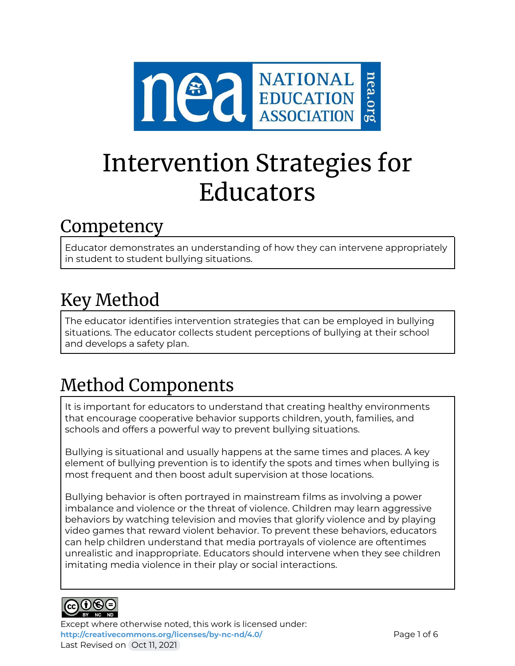

# Intervention Strategies for Educators

### Competency

Educator demonstrates an understanding of how they can intervene appropriately in student to student bullying situations.

## Key Method

The educator identifies intervention strategies that can be employed in bullying situations. The educator collects student perceptions of bullying at their school and develops a safety plan.

# Method Components

It is important for educators to understand that creating healthy environments that encourage cooperative behavior supports children, youth, families, and schools and offers a powerful way to prevent bullying situations.

Bullying is situational and usually happens at the same times and places. A key element of bullying prevention is to identify the spots and times when bullying is most frequent and then boost adult supervision at those locations.

Bullying behavior is often portrayed in mainstream films as involving a power imbalance and violence or the threat of violence. Children may learn aggressive behaviors by watching television and movies that glorify violence and by playing video games that reward violent behavior. To prevent these behaviors, educators can help children understand that media portrayals of violence are oftentimes unrealistic and inappropriate. Educators should intervene when they see children imitating media violence in their play or social interactions.



Except where otherwise noted, this work is licensed under: <http://creativecommons.org/licenses/by-nc-nd/4.0/> **Page 1 of 6** Last Revised on Oct 11, 2021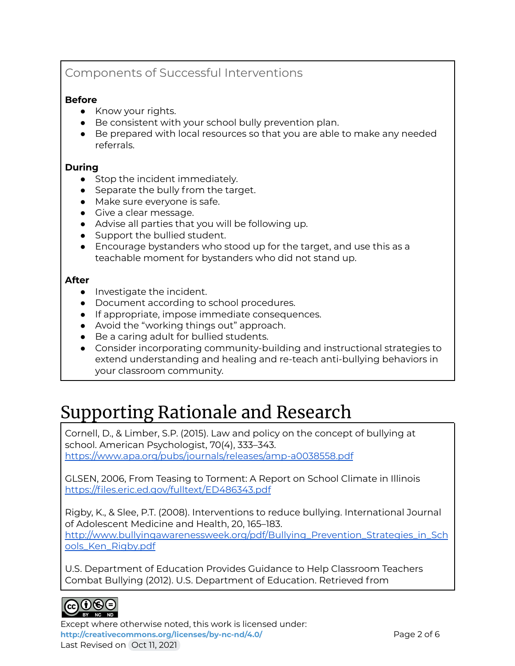### Components of Successful Interventions

#### **Before**

- Know your rights.
- Be consistent with your school bully prevention plan.
- Be prepared with local resources so that you are able to make any needed referrals.

#### **During**

- Stop the incident immediately.
- Separate the bully from the target.
- Make sure everyone is safe.
- Give a clear message.
- Advise all parties that you will be following up.
- Support the bullied student.
- Encourage bystanders who stood up for the target, and use this as a teachable moment for bystanders who did not stand up.

#### **After**

- Investigate the incident.
- Document according to school procedures.
- If appropriate, impose immediate consequences.
- Avoid the "working things out" approach.
- Be a caring adult for bullied students.
- Consider incorporating community-building and instructional strategies to extend understanding and healing and re-teach anti-bullying behaviors in your classroom community.

### Supporting Rationale and Research

Cornell, D., & Limber, S.P. (2015). Law and policy on the concept of bullying at school. American Psychologist, 70(4), 333–343. <https://www.apa.org/pubs/journals/releases/amp-a0038558.pdf>

GLSEN, 2006, From Teasing to Torment: A Report on School Climate in Illinois <https://files.eric.ed.gov/fulltext/ED486343.pdf>

Rigby, K., & Slee, P.T. (2008). Interventions to reduce bullying. International Journal of Adolescent Medicine and Health, 20, 165–183. [http://www.bullyingawarenessweek.org/pdf/Bullying\\_Prevention\\_Strategies\\_in\\_Sch](http://www.bullyingawarenessweek.org/pdf/Bullying_Prevention_Strategies_in_Schools_Ken_Rigby.pdf) [ools\\_Ken\\_Rigby.pdf](http://www.bullyingawarenessweek.org/pdf/Bullying_Prevention_Strategies_in_Schools_Ken_Rigby.pdf)

U.S. Department of Education Provides Guidance to Help Classroom Teachers Combat Bullying (2012). U.S. Department of Education. Retrieved from



Except where otherwise noted, this work is licensed under: **<http://creativecommons.org/licenses/by-nc-nd/4.0/>** Page 2 of 6 Last Revised on Oct 11, 2021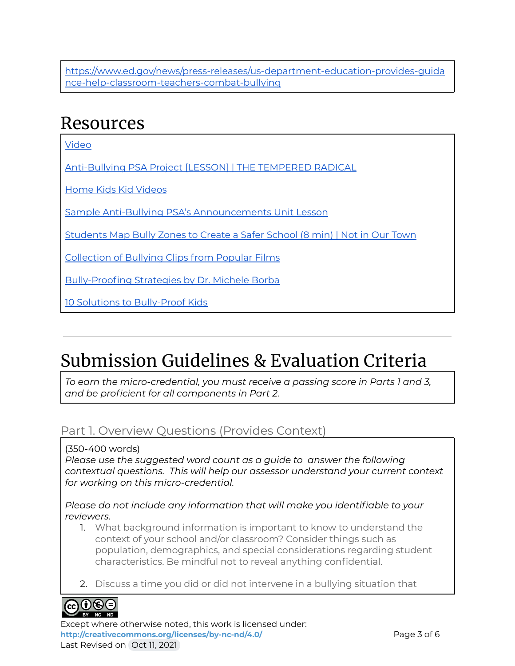[https://www.ed.gov/news/press-releases/us-department-education-provides-guida](https://www.ed.gov/news/press-releases/us-department-education-provides-guidance-help-classroom-teachers-combat-bullying) [nce-help-classroom-teachers-combat-bullying](https://www.ed.gov/news/press-releases/us-department-education-provides-guidance-help-classroom-teachers-combat-bullying)

### Resources

[Video](https://www.crisisprevention.com/Blog/What-Ten-Famous-Films-Teach-Us-About-Bullying)

[Anti-Bullying](http://blog.williamferriter.com/2013/04/09/anti-bullying-psa-project-lesson/) PSA Project [LESSON] | THE TEMPERED RADICAL

Home Kids Kid [Videos](https://www.stopbullying.gov/kids/webisodes/index.html)

Sample Anti-Bullying PSA's [Announcements](https://bullyingunit2nd3rd.weebly.com/index.html) Unit Lesson

[Students](https://www.niot.org/nios-video/students-map-bully-zones-create-safer-school) Map Bully Zones to Create a Safer School (8 min) | Not in Our Town

[Collection](https://youtu.be/XMjNPbgQ_VA) of Bullying Clips from Popular Films

[Bully-Proofing](https://www.micheleborba.com/uncategorized/bully-proofing-strategies-for-kids/) Strategies by Dr. Michele Borba

10 Solutions to [Bully-Proof](https://www.micheleborba.com/uncategorized/10-solutions-to-bully-proof-kids/) Kids

### Submission Guidelines & Evaluation Criteria

*To earn the micro-credential, you must receive a passing score in Parts 1 and 3, and be proficient for all components in Part 2.*

### Part 1. Overview Questions (Provides Context)

(350-400 words)

*Please use the suggested word count as a guide to answer the following contextual questions. This will help our assessor understand your current context for working on this micro-credential.*

#### *Please do not include any information that will make you identifiable to your reviewers.*

- 1. What background information is important to know to understand the context of your school and/or classroom? Consider things such as population, demographics, and special considerations regarding student characteristics. Be mindful not to reveal anything confidential.
- 2. Discuss a time you did or did not intervene in a bullying situation that



Except where otherwise noted, this work is licensed under: <http://creativecommons.org/licenses/by-nc-nd/4.0/><br>
Page 3 of 6 Last Revised on Oct 11, 2021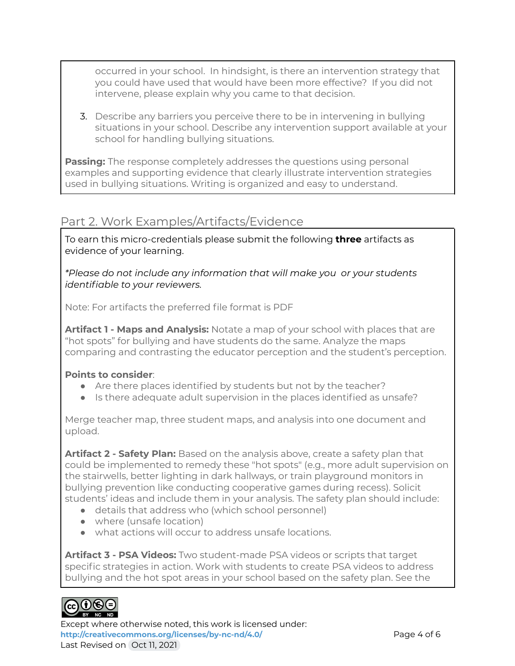occurred in your school. In hindsight, is there an intervention strategy that you could have used that would have been more effective? If you did not intervene, please explain why you came to that decision.

3. Describe any barriers you perceive there to be in intervening in bullying situations in your school. Describe any intervention support available at your school for handling bullying situations.

**Passing:** The response completely addresses the questions using personal examples and supporting evidence that clearly illustrate intervention strategies used in bullying situations. Writing is organized and easy to understand.

### Part 2. Work Examples/Artifacts/Evidence

To earn this micro-credentials please submit the following **three** artifacts as evidence of your learning.

*\*Please do not include any information that will make you or your students identifiable to your reviewers.*

Note: For artifacts the preferred file format is PDF

**Artifact 1 - Maps and Analysis:** Notate a map of your school with places that are "hot spots" for bullying and have students do the same. Analyze the maps comparing and contrasting the educator perception and the student's perception.

#### **Points to consider**:

- Are there places identified by students but not by the teacher?
- Is there adequate adult supervision in the places identified as unsafe?

Merge teacher map, three student maps, and analysis into one document and upload.

**Artifact 2 - Safety Plan:** Based on the analysis above, create a safety plan that could be implemented to remedy these "hot spots" (e.g., more adult supervision on the stairwells, better lighting in dark hallways, or train playground monitors in bullying prevention like conducting cooperative games during recess). Solicit students' ideas and include them in your analysis. The safety plan should include:

- details that address who (which school personnel)
- where (unsafe location)
- what actions will occur to address unsafe locations.

**Artifact 3 - PSA Videos:** Two student-made PSA videos or scripts that target specific strategies in action. Work with students to create PSA videos to address bullying and the hot spot areas in your school based on the safety plan. See the

### $_{\rm cc}(\mathbf{i})$ (s)(=

Except where otherwise noted, this work is licensed under: **<http://creativecommons.org/licenses/by-nc-nd/4.0/>** Page 4 of 6 Last Revised on Oct 11, 2021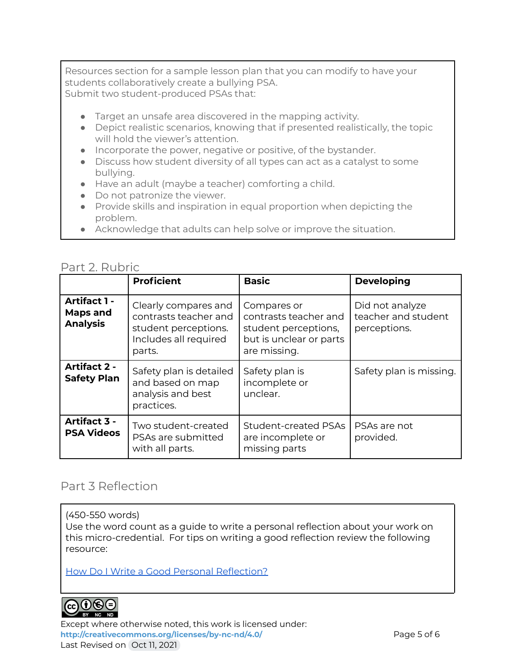Resources section for a sample lesson plan that you can modify to have your students collaboratively create a bullying PSA. Submit two student-produced PSAs that:

- Target an unsafe area discovered in the mapping activity.
- Depict realistic scenarios, knowing that if presented realistically, the topic will hold the viewer's attention.
- Incorporate the power, negative or positive, of the bystander.
- Discuss how student diversity of all types can act as a catalyst to some bullying.
- Have an adult (maybe a teacher) comforting a child.
- Do not patronize the viewer.
- Provide skills and inspiration in equal proportion when depicting the problem.
- Acknowledge that adults can help solve or improve the situation.

### Part 2. Rubric

|                                                    | <b>Proficient</b>                                                                                        | <b>Basic</b>                                                                                            | <b>Developing</b>                                      |
|----------------------------------------------------|----------------------------------------------------------------------------------------------------------|---------------------------------------------------------------------------------------------------------|--------------------------------------------------------|
| <b>Artifact 1 -</b><br>Maps and<br><b>Analysis</b> | Clearly compares and<br>contrasts teacher and<br>student perceptions.<br>Includes all required<br>parts. | Compares or<br>contrasts teacher and<br>student perceptions,<br>but is unclear or parts<br>are missing. | Did not analyze<br>teacher and student<br>perceptions. |
| <b>Artifact 2 -</b><br><b>Safety Plan</b>          | Safety plan is detailed<br>and based on map<br>analysis and best<br>practices.                           | Safety plan is<br>incomplete or<br>unclear.                                                             | Safety plan is missing.                                |
| Artifact 3 -<br><b>PSA Videos</b>                  | Two student-created<br>PSAs are submitted<br>with all parts.                                             | <b>Student-created PSAs</b><br>are incomplete or<br>missing parts                                       | PSAs are not<br>provided.                              |

### Part 3 Reflection

(450-550 words)

Use the word count as a guide to write a personal reflection about your work on this micro-credential. For tips on writing a good reflection review the following resource:

How Do I Write a Good Personal [Reflection?](https://isthismystory.com/learning/how-do-i-write-a-good-personal-reflection/)



Except where otherwise noted, this work is licensed under: **<http://creativecommons.org/licenses/by-nc-nd/4.0/>** Page 5 of 6 Last Revised on Oct 11, 2021